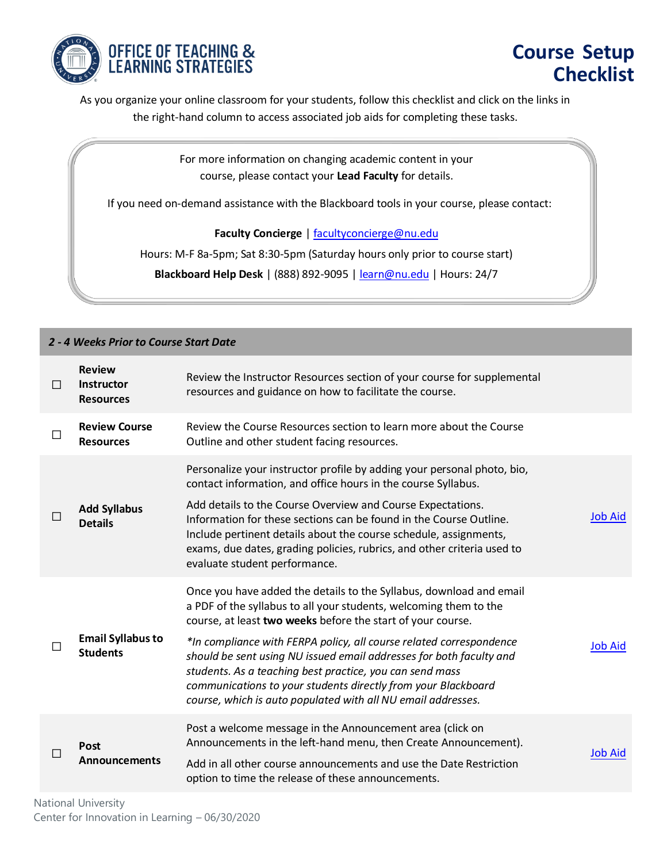

As you organize your online classroom for your students, follow this checklist and click on the links in the right-hand column to access associated job aids for completing these tasks.

> For more information on changing academic content in your course, please contact your **Lead Faculty** for details.

If you need on-demand assistance with the Blackboard tools in your course, please contact:

**Faculty Concierge** [| facultyconcierge@nu.edu](mailto:facultyconcierge@nu.edu)

Hours: M-F 8a-5pm; Sat 8:30-5pm (Saturday hours only prior to course start)

**Blackboard Help Desk** | (888) 892-9095 | [learn@nu.edu](mailto:learn@nu.edu) | Hours: 24/7

| 2 - 4 Weeks Prior to Course Start Date |                                                        |                                                                                                                                                                                                                                                                                                                                                                                                                                                                                                                                                    |                |  |  |
|----------------------------------------|--------------------------------------------------------|----------------------------------------------------------------------------------------------------------------------------------------------------------------------------------------------------------------------------------------------------------------------------------------------------------------------------------------------------------------------------------------------------------------------------------------------------------------------------------------------------------------------------------------------------|----------------|--|--|
| П                                      | <b>Review</b><br><b>Instructor</b><br><b>Resources</b> | Review the Instructor Resources section of your course for supplemental<br>resources and guidance on how to facilitate the course.                                                                                                                                                                                                                                                                                                                                                                                                                 |                |  |  |
| $\mathsf{L}$                           | <b>Review Course</b><br><b>Resources</b>               | Review the Course Resources section to learn more about the Course<br>Outline and other student facing resources.                                                                                                                                                                                                                                                                                                                                                                                                                                  |                |  |  |
| $\Box$                                 | <b>Add Syllabus</b><br><b>Details</b>                  | Personalize your instructor profile by adding your personal photo, bio,<br>contact information, and office hours in the course Syllabus.<br>Add details to the Course Overview and Course Expectations.<br>Information for these sections can be found in the Course Outline.<br>Include pertinent details about the course schedule, assignments,<br>exams, due dates, grading policies, rubrics, and other criteria used to<br>evaluate student performance.                                                                                     | <b>Job Aid</b> |  |  |
|                                        | <b>Email Syllabus to</b><br><b>Students</b>            | Once you have added the details to the Syllabus, download and email<br>a PDF of the syllabus to all your students, welcoming them to the<br>course, at least two weeks before the start of your course.<br>*In compliance with FERPA policy, all course related correspondence<br>should be sent using NU issued email addresses for both faculty and<br>students. As a teaching best practice, you can send mass<br>communications to your students directly from your Blackboard<br>course, which is auto populated with all NU email addresses. | <b>Job Aid</b> |  |  |
| $\Box$                                 | Post<br>Announcements                                  | Post a welcome message in the Announcement area (click on<br>Announcements in the left-hand menu, then Create Announcement).<br>Add in all other course announcements and use the Date Restriction<br>option to time the release of these announcements.                                                                                                                                                                                                                                                                                           | <b>Job Aid</b> |  |  |